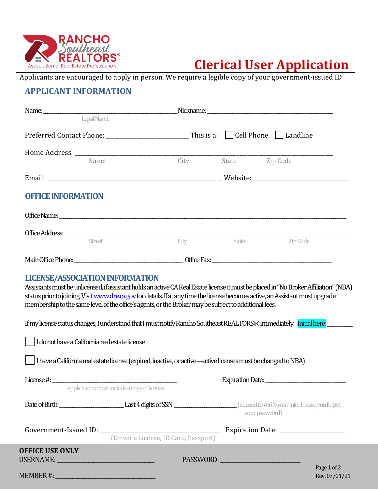

# **Clerical User Application**

Applicants are encouraged to apply in person. We require a legible copy of your government-issued ID

# **APPLICANT INFORMATION**

| Legal Name                                                                                                                                                                                                                                                                                                                                                                                                                  |                                              |                     |                     |
|-----------------------------------------------------------------------------------------------------------------------------------------------------------------------------------------------------------------------------------------------------------------------------------------------------------------------------------------------------------------------------------------------------------------------------|----------------------------------------------|---------------------|---------------------|
|                                                                                                                                                                                                                                                                                                                                                                                                                             |                                              |                     |                     |
|                                                                                                                                                                                                                                                                                                                                                                                                                             |                                              |                     |                     |
| Street                                                                                                                                                                                                                                                                                                                                                                                                                      |                                              | City State Zip Code |                     |
|                                                                                                                                                                                                                                                                                                                                                                                                                             |                                              |                     |                     |
| <b>OFFICE INFORMATION</b>                                                                                                                                                                                                                                                                                                                                                                                                   |                                              |                     |                     |
|                                                                                                                                                                                                                                                                                                                                                                                                                             |                                              |                     |                     |
|                                                                                                                                                                                                                                                                                                                                                                                                                             |                                              |                     |                     |
| Street                                                                                                                                                                                                                                                                                                                                                                                                                      |                                              |                     | City State Zip Code |
| Main Office Phone: <u>Contract Contract Contract Contract Contract Contract Contract Contract Contract Contract Contract Contract Contract Contract Contract Contract Contract Contract Contract Contract Contract Contract Cont</u>                                                                                                                                                                                        |                                              |                     |                     |
| <b>LICENSE/ASSOCIATION INFORMATION</b><br>Assistants must be unlicensed, if assistant holds an active CA Real Estate license it must be placed in "No Broker Affiliation" (NBA)<br>status prior to joining. Visit www.dre.ca.gov for details. If at any time the license becomes active, an Assistant must upgrade<br>membership to the same level of the office's agents, or the Broker may be subject to additional fees. |                                              |                     |                     |
| If my license status changes, I understand that I must notify Rancho Southeast REALTORS® immediately: Initial here:                                                                                                                                                                                                                                                                                                         |                                              |                     |                     |
| I do not have a California real estate license<br>I have a California real estate license (expired, inactive, or active---active licenses must be changed to NBA)                                                                                                                                                                                                                                                           |                                              |                     |                     |
| License $\#$ :                                                                                                                                                                                                                                                                                                                                                                                                              | Applications must include a copy of license. |                     | Expiration Date:    |
| Date of Birth: Last 4 digits of SSN: Last 1 digits of SSN: Last 2 digits of SSN: Last 2 digits of SSN: Last 2 digits of SSN: Last 2 digits of SSN: Last 2 digits of SSN: Last 2 digits of SSN: Last 2 digits of SSN: Last 2 di                                                                                                                                                                                              |                                              |                     | your password)      |
|                                                                                                                                                                                                                                                                                                                                                                                                                             | (Driver's License, ID Card, Passport)        |                     |                     |